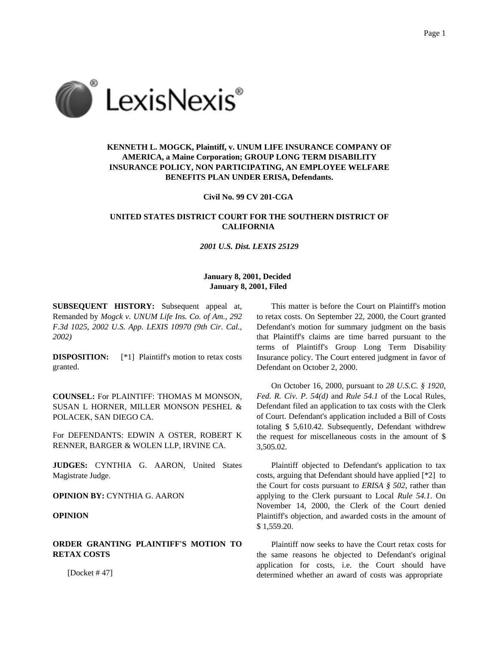

# **KENNETH L. MOGCK, Plaintiff, v. UNUM LIFE INSURANCE COMPANY OF AMERICA, a Maine Corporation; GROUP LONG TERM DISABILITY INSURANCE POLICY, NON PARTICIPATING, AN EMPLOYEE WELFARE BENEFITS PLAN UNDER ERISA, Defendants.**

#### **Civil No. 99 CV 201-CGA**

## **UNITED STATES DISTRICT COURT FOR THE SOUTHERN DISTRICT OF CALIFORNIA**

## *2001 U.S. Dist. LEXIS 25129*

### **January 8, 2001, Decided January 8, 2001, Filed**

**SUBSEQUENT HISTORY:** Subsequent appeal at, Remanded by *Mogck v. UNUM Life Ins. Co. of Am., 292 F.3d 1025, 2002 U.S. App. LEXIS 10970 (9th Cir. Cal., 2002)*

**DISPOSITION:** [\*1] Plaintiff's motion to retax costs granted.

**COUNSEL:** For PLAINTIFF: THOMAS M MONSON, SUSAN L HORNER, MILLER MONSON PESHEL & POLACEK, SAN DIEGO CA.

For DEFENDANTS: EDWIN A OSTER, ROBERT K RENNER, BARGER & WOLEN LLP, IRVINE CA.

**JUDGES:** CYNTHIA G. AARON, United States Magistrate Judge.

**OPINION BY:** CYNTHIA G. AARON

#### **OPINION**

## **ORDER GRANTING PLAINTIFF'S MOTION TO RETAX COSTS**

[Docket # 47]

This matter is before the Court on Plaintiff's motion to retax costs. On September 22, 2000, the Court granted Defendant's motion for summary judgment on the basis that Plaintiff's claims are time barred pursuant to the terms of Plaintiff's Group Long Term Disability Insurance policy. The Court entered judgment in favor of Defendant on October 2, 2000.

On October 16, 2000, pursuant to *28 U.S.C. § 1920*, *Fed. R. Civ. P. 54(d)* and *Rule 54.1* of the Local Rules, Defendant filed an application to tax costs with the Clerk of Court. Defendant's application included a Bill of Costs totaling \$ 5,610.42. Subsequently, Defendant withdrew the request for miscellaneous costs in the amount of \$ 3,505.02.

Plaintiff objected to Defendant's application to tax costs, arguing that Defendant should have applied [\*2] to the Court for costs pursuant to *ERISA § 502*, rather than applying to the Clerk pursuant to Local *Rule 54.1*. On November 14, 2000, the Clerk of the Court denied Plaintiff's objection, and awarded costs in the amount of \$ 1,559.20.

Plaintiff now seeks to have the Court retax costs for the same reasons he objected to Defendant's original application for costs, i.e. the Court should have determined whether an award of costs was appropriate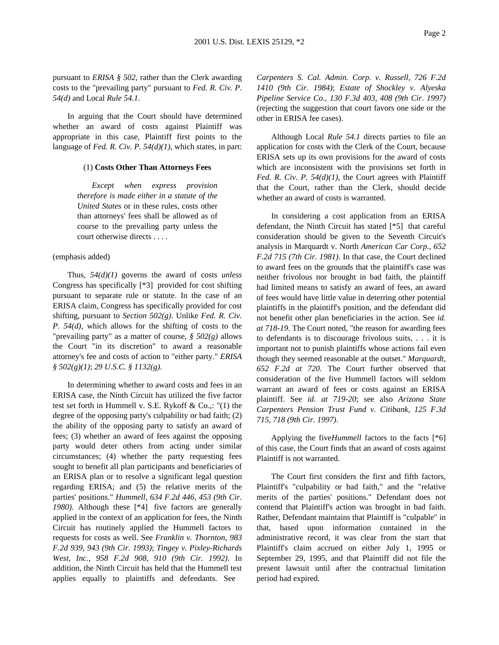pursuant to *ERISA § 502*, rather than the Clerk awarding costs to the "prevailing party" pursuant to *Fed. R. Civ. P. 54(d)* and Local *Rule 54.1*.

In arguing that the Court should have determined whether an award of costs against Plaintiff was appropriate in this case, Plaintiff first points to the language of *Fed. R. Civ. P. 54(d)(1)*, which states, in part:

#### (1) **Costs Other Than Attorneys Fees**

*Except when express provision therefore is made either in a statute of the United States* or in these rules, costs other than attorneys' fees shall be allowed as of course to the prevailing party unless the court otherwise directs . . . .

#### (emphasis added)

Thus, *54(d)(1)* governs the award of costs *unless* Congress has specifically [\*3] provided for cost shifting pursuant to separate rule or statute. In the case of an ERISA claim, Congress has specifically provided for cost shifting, pursuant to *Section 502(g)*. Unlike *Fed. R. Civ. P. 54(d)*, which allows for the shifting of costs to the "prevailing party" as a matter of course, *§ 502(g)* allows the Court "in its discretion" to award a reasonable attorney's fee and costs of action to "either party." *ERISA § 502(g)(1)*; *29 U.S.C. § 1132(g)*.

In determining whether to award costs and fees in an ERISA case, the Ninth Circuit has utilized the five factor test set forth in Hummell v. S.E. Rykoff & Co.,: "(1) the degree of the opposing party's culpability or bad faith; (2) the ability of the opposing party to satisfy an award of fees; (3) whether an award of fees against the opposing party would deter others from acting under similar circumstances; (4) whether the party requesting fees sought to benefit all plan participants and beneficiaries of an ERISA plan or to resolve a significant legal question regarding ERISA; and (5) the relative merits of the parties' positions." *Hummell, 634 F.2d 446, 453 (9th Cir. 1980)*. Although these [\*4] five factors are generally applied in the context of an application for fees, the Ninth Circuit has routinely applied the Hummell factors to requests for costs as well. See *Franklin v. Thornton, 983 F.2d 939, 943 (9th Cir. 1993)*; *Tingey v. Pixley-Richards West, Inc., 958 F.2d 908, 910 (9th Cir. 1992)*. In addition, the Ninth Circuit has held that the Hummell test applies equally to plaintiffs and defendants. See

*Carpenters S. Cal. Admin. Corp. v. Russell, 726 F.2d 1410 (9th Cir. 1984)*; *Estate of Shockley v. Alyeska Pipeline Service Co., 130 F.3d 403, 408 (9th Cir. 1997)* (rejecting the suggestion that court favors one side or the other in ERISA fee cases).

Although Local *Rule 54.1* directs parties to file an application for costs with the Clerk of the Court, because ERISA sets up its own provisions for the award of costs which are inconsistent with the provisions set forth in *Fed. R. Civ. P. 54(d)(1)*, the Court agrees with Plaintiff that the Court, rather than the Clerk, should decide whether an award of costs is warranted.

In considering a cost application from an ERISA defendant, the Ninth Circuit has stated [\*5] that careful consideration should be given to the Seventh Circuit's analysis in Marquardt v. North *American Car Corp., 652 F.2d 715 (7th Cir. 1981)*. In that case, the Court declined to award fees on the grounds that the plaintiff's case was neither frivolous nor brought in bad faith, the plaintiff had limited means to satisfy an award of fees, an award of fees would have little value in deterring other potential plaintiffs in the plaintiff's position, and the defendant did not benefit other plan beneficiaries in the action. See *id. at 718-19*. The Court noted, "the reason for awarding fees to defendants is to discourage frivolous suits, . . . it is important not to punish plaintiffs whose actions fail even though they seemed reasonable at the outset." *Marquardt, 652 F.2d at 720*. The Court further observed that consideration of the five Hummell factors will seldom warrant an award of fees or costs against an ERISA plaintiff. See *id. at 719-20*; see also *Arizona State Carpenters Pension Trust Fund v. Citibank, 125 F.3d 715, 718 (9th Cir. 1997)*.

Applying the five*Hummell* factors to the facts [\*6] of this case, the Court finds that an award of costs against Plaintiff is not warranted.

The Court first considers the first and fifth factors, Plaintiff's "culpability or bad faith," and the "relative merits of the parties' positions." Defendant does not contend that Plaintiff's action was brought in bad faith. Rather, Defendant maintains that Plaintiff is "culpable" in that, based upon information contained in the administrative record, it was clear from the start that Plaintiff's claim accrued on either July 1, 1995 or September 29, 1995, and that Plaintiff did not file the present lawsuit until after the contractual limitation period had expired.